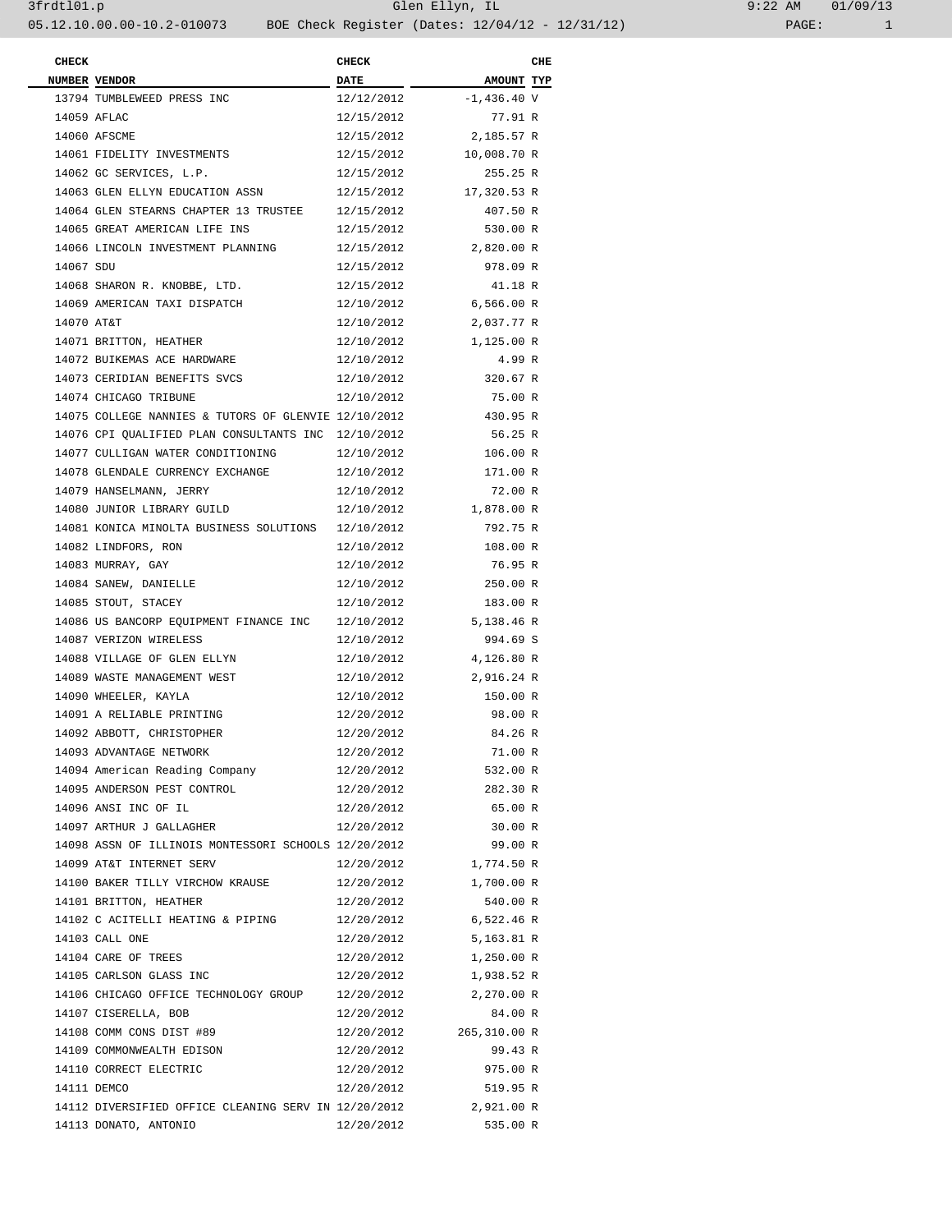| 9:22 AM |       | 01/09/13 |  |  |
|---------|-------|----------|--|--|
|         | PAGE: |          |  |  |

| <b>CHECK</b> |                                                      | <b>CHECK</b> |                        | CHE |
|--------------|------------------------------------------------------|--------------|------------------------|-----|
|              | NUMBER VENDOR                                        | <b>DATE</b>  | AMOUNT TYP             |     |
|              | 13794 TUMBLEWEED PRESS INC                           | 12/12/2012   | -1,436.40 V            |     |
|              | 14059 AFLAC                                          | 12/15/2012   | 77.91 R                |     |
|              | 14060 AFSCME<br>14061 FIDELITY INVESTMENTS           | 12/15/2012   | 2,185.57 R             |     |
|              |                                                      | 12/15/2012   | 10,008.70 R            |     |
|              | 14062 GC SERVICES, L.P.                              | 12/15/2012   | 255.25 R               |     |
|              | 14063 GLEN ELLYN EDUCATION ASSN                      |              | 12/15/2012 17,320.53 R |     |
|              | 14064 GLEN STEARNS CHAPTER 13 TRUSTEE 12/15/2012     |              | 407.50 R               |     |
|              | 14065 GREAT AMERICAN LIFE INS                        | 12/15/2012   | 530.00 R               |     |
|              | 14066 LINCOLN INVESTMENT PLANNING                    |              | 12/15/2012 2,820.00 R  |     |
| 14067 SDU    |                                                      | 12/15/2012   | 978.09 R               |     |
|              | 14068 SHARON R. KNOBBE, LTD.                         | 12/15/2012   | 41.18 R                |     |
|              | 14069 AMERICAN TAXI DISPATCH                         | 12/10/2012   | 6,566.00 R             |     |
| 14070 AT&T   |                                                      | 12/10/2012   | 2,037.77 R             |     |
|              | 14071 BRITTON, HEATHER                               | 12/10/2012   | 1,125.00 R             |     |
|              | 14072 BUIKEMAS ACE HARDWARE                          | 12/10/2012   | 4.99 R                 |     |
|              | 14073 CERIDIAN BENEFITS SVCS                         | 12/10/2012   | 320.67 R               |     |
|              | 14074 CHICAGO TRIBUNE                                | 12/10/2012   | 75.00 R                |     |
|              | 14075 COLLEGE NANNIES & TUTORS OF GLENVIE 12/10/2012 |              | 430.95 R               |     |
|              | 14076 CPI QUALIFIED PLAN CONSULTANTS INC 12/10/2012  |              | 56.25 R                |     |
|              | 14077 CULLIGAN WATER CONDITIONING 12/10/2012         |              | 106.00 R               |     |
|              | 14078 GLENDALE CURRENCY EXCHANGE                     | 12/10/2012   | 171.00 R               |     |
|              | 14079 HANSELMANN, JERRY                              | 12/10/2012   | 72.00 R                |     |
|              | 14080 JUNIOR LIBRARY GUILD                           | 12/10/2012   | 1,878.00 R             |     |
|              | 14081 KONICA MINOLTA BUSINESS SOLUTIONS 12/10/2012   |              | 792.75 R               |     |
|              | 14082 LINDFORS, RON                                  | 12/10/2012   | 108.00 R               |     |
|              | 14083 MURRAY, GAY                                    | 12/10/2012   | 76.95 R                |     |
|              | 14084 SANEW, DANIELLE                                | 12/10/2012   | 250.00 R               |     |
|              | 14085 STOUT, STACEY                                  | 12/10/2012   | 183.00 R               |     |
|              | 14086 US BANCORP EQUIPMENT FINANCE INC 12/10/2012    |              | 5,138.46 R             |     |
|              | 14087 VERIZON WIRELESS                               | 12/10/2012   | 994.69 S               |     |
|              | 14088 VILLAGE OF GLEN ELLYN                          | 12/10/2012   | 4,126.80 R             |     |
|              | 14089 WASTE MANAGEMENT WEST                          | 12/10/2012   | 2,916.24 R             |     |
|              | 14090 WHEELER, KAYLA                                 | 12/10/2012   | 150.00 R               |     |
|              | 14091 A RELIABLE PRINTING                            | 12/20/2012   | 98.00 R                |     |
|              | 14092 ABBOTT, CHRISTOPHER                            | 12/20/2012   | 84.26 R                |     |
|              | 14093 ADVANTAGE NETWORK                              | 12/20/2012   | 71.00 R                |     |
|              | 14094 American Reading Company                       | 12/20/2012   | 532.00 R               |     |
|              | 14095 ANDERSON PEST CONTROL                          | 12/20/2012   | 282.30 R               |     |
|              | 14096 ANSI INC OF IL                                 | 12/20/2012   | 65.00 R                |     |
|              | 14097 ARTHUR J GALLAGHER                             | 12/20/2012   | 30.00 R                |     |
|              | 14098 ASSN OF ILLINOIS MONTESSORI SCHOOLS 12/20/2012 |              | 99.00 R                |     |
|              | 14099 AT&T INTERNET SERV                             | 12/20/2012   | 1,774.50 R             |     |
|              | 14100 BAKER TILLY VIRCHOW KRAUSE                     | 12/20/2012   | 1,700.00 R             |     |
|              | 14101 BRITTON, HEATHER                               | 12/20/2012   | 540.00 R               |     |
|              | 14102 C ACITELLI HEATING & PIPING                    | 12/20/2012   | 6,522.46 R             |     |
|              | 14103 CALL ONE                                       | 12/20/2012   | 5,163.81 R             |     |
|              | 14104 CARE OF TREES                                  | 12/20/2012   | 1,250.00 R             |     |
|              | 14105 CARLSON GLASS INC                              | 12/20/2012   | 1,938.52 R             |     |
|              | 14106 CHICAGO OFFICE TECHNOLOGY GROUP                | 12/20/2012   | 2,270.00 R             |     |
|              | 14107 CISERELLA, BOB                                 | 12/20/2012   | 84.00 R                |     |
|              | 14108 COMM CONS DIST #89                             | 12/20/2012   | 265,310.00 R           |     |
|              | 14109 COMMONWEALTH EDISON                            | 12/20/2012   | 99.43 R                |     |
|              | 14110 CORRECT ELECTRIC                               | 12/20/2012   | 975.00 R               |     |
|              | 14111 DEMCO                                          | 12/20/2012   | 519.95 R               |     |
|              | 14112 DIVERSIFIED OFFICE CLEANING SERV IN 12/20/2012 |              | 2,921.00 R             |     |
|              | 14113 DONATO, ANTONIO                                | 12/20/2012   | 535.00 R               |     |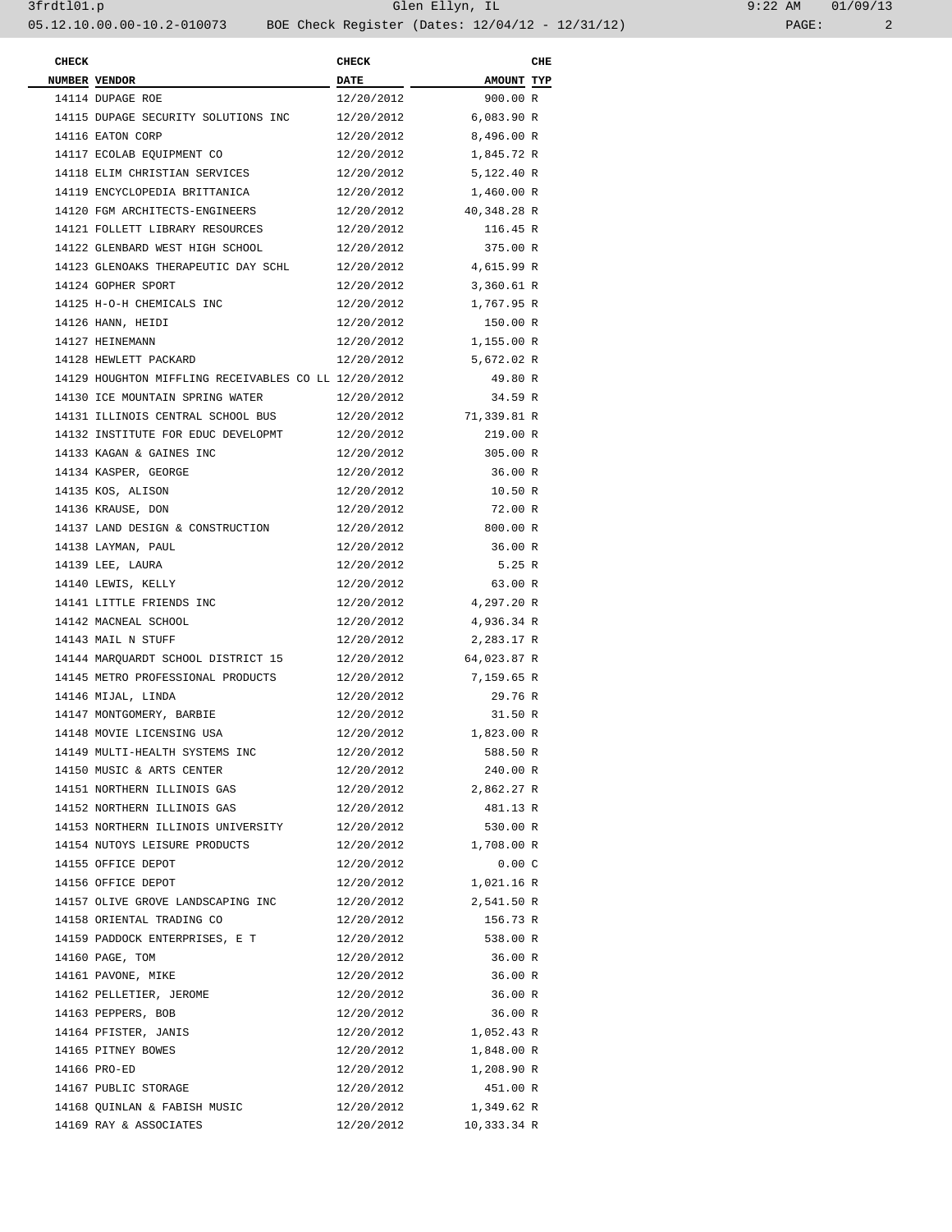| 9:22 AM |       | 01/09/13 |  |
|---------|-------|----------|--|
|         | PAGE: |          |  |

| <b>CHECK</b> |                                                      | <b>CHECK</b> |                   | CHE |
|--------------|------------------------------------------------------|--------------|-------------------|-----|
|              | NUMBER VENDOR                                        | <b>DATE</b>  | <b>AMOUNT TYP</b> |     |
|              | 14114 DUPAGE ROE                                     | 12/20/2012   | 900.00 R          |     |
|              | 14115 DUPAGE SECURITY SOLUTIONS INC                  | 12/20/2012   | 6,083.90 R        |     |
|              | 14116 EATON CORP                                     | 12/20/2012   | 8,496.00 R        |     |
|              | 14117 ECOLAB EQUIPMENT CO                            | 12/20/2012   | 1,845.72 R        |     |
|              | 14118 ELIM CHRISTIAN SERVICES                        | 12/20/2012   | 5,122.40 R        |     |
|              | 14119 ENCYCLOPEDIA BRITTANICA                        | 12/20/2012   | 1,460.00 R        |     |
|              | 14120 FGM ARCHITECTS-ENGINEERS                       | 12/20/2012   | 40,348.28 R       |     |
|              | 14121 FOLLETT LIBRARY RESOURCES                      | 12/20/2012   | 116.45 R          |     |
|              | 14122 GLENBARD WEST HIGH SCHOOL                      | 12/20/2012   | 375.00 R          |     |
|              | 14123 GLENOAKS THERAPEUTIC DAY SCHL                  | 12/20/2012   | 4,615.99 R        |     |
|              | 14124 GOPHER SPORT                                   | 12/20/2012   | 3,360.61 R        |     |
|              | 14125 H-O-H CHEMICALS INC                            | 12/20/2012   | 1,767.95 R        |     |
|              | 14126 HANN, HEIDI                                    | 12/20/2012   | 150.00 R          |     |
|              | 14127 HEINEMANN                                      | 12/20/2012   | 1,155.00 R        |     |
|              | 14128 HEWLETT PACKARD                                | 12/20/2012   | 5,672.02 R        |     |
|              | 14129 HOUGHTON MIFFLING RECEIVABLES CO LL 12/20/2012 |              | 49.80 R           |     |
|              | 14130 ICE MOUNTAIN SPRING WATER                      | 12/20/2012   | 34.59 R           |     |
|              | 14131 ILLINOIS CENTRAL SCHOOL BUS                    | 12/20/2012   | 71,339.81 R       |     |
|              | 14132 INSTITUTE FOR EDUC DEVELOPMT                   | 12/20/2012   | 219.00 R          |     |
|              | 14133 KAGAN & GAINES INC                             | 12/20/2012   | 305.00 R          |     |
|              | 14134 KASPER, GEORGE                                 | 12/20/2012   | 36.00 R           |     |
|              | 14135 KOS, ALISON                                    | 12/20/2012   | 10.50 R           |     |
|              | 14136 KRAUSE, DON                                    | 12/20/2012   | 72.00 R           |     |
|              | 14137 LAND DESIGN & CONSTRUCTION                     | 12/20/2012   | 800.00 R          |     |
|              | 14138 LAYMAN, PAUL                                   | 12/20/2012   | 36.00 R           |     |
|              | 14139 LEE, LAURA                                     | 12/20/2012   | 5.25 R            |     |
|              | 14140 LEWIS, KELLY                                   | 12/20/2012   | 63.00 R           |     |
|              | 14141 LITTLE FRIENDS INC                             | 12/20/2012   | 4,297.20 R        |     |
|              | 14142 MACNEAL SCHOOL                                 | 12/20/2012   | 4,936.34 R        |     |
|              | 14143 MAIL N STUFF                                   | 12/20/2012   | 2,283.17 R        |     |
|              | 14144 MARQUARDT SCHOOL DISTRICT 15                   | 12/20/2012   | 64,023.87 R       |     |
|              | 14145 METRO PROFESSIONAL PRODUCTS                    | 12/20/2012   | 7,159.65 R        |     |
|              | 14146 MIJAL, LINDA                                   | 12/20/2012   | 29.76 R           |     |
|              | 14147 MONTGOMERY, BARBIE                             | 12/20/2012   | 31.50 R           |     |
|              | 14148 MOVIE LICENSING USA                            | 12/20/2012   | 1,823.00 R        |     |
|              | 14149 MULTI-HEALTH SYSTEMS INC                       | 12/20/2012   | 588.50 R          |     |
|              | 14150 MUSIC & ARTS CENTER                            | 12/20/2012   | 240.00 R          |     |
|              | 14151 NORTHERN ILLINOIS GAS                          | 12/20/2012   | 2,862.27 R        |     |
|              | 14152 NORTHERN ILLINOIS GAS                          | 12/20/2012   | 481.13 R          |     |
|              | 14153 NORTHERN ILLINOIS UNIVERSITY                   | 12/20/2012   | 530.00 R          |     |
|              | 14154 NUTOYS LEISURE PRODUCTS                        | 12/20/2012   | 1,708.00 R        |     |
|              | 14155 OFFICE DEPOT                                   | 12/20/2012   | 0.00C             |     |
|              | 14156 OFFICE DEPOT                                   | 12/20/2012   | 1,021.16 R        |     |
|              | 14157 OLIVE GROVE LANDSCAPING INC                    | 12/20/2012   | 2,541.50 R        |     |
|              | 14158 ORIENTAL TRADING CO                            | 12/20/2012   | 156.73 R          |     |
|              | 14159 PADDOCK ENTERPRISES, E T                       | 12/20/2012   | 538.00 R          |     |
|              |                                                      |              |                   |     |
|              | 14160 PAGE, TOM                                      | 12/20/2012   | 36.00 R           |     |
|              | 14161 PAVONE, MIKE                                   | 12/20/2012   | 36.00 R           |     |
|              | 14162 PELLETIER, JEROME                              | 12/20/2012   | 36.00 R           |     |
|              | 14163 PEPPERS, BOB                                   | 12/20/2012   | 36.00 R           |     |
|              | 14164 PFISTER, JANIS                                 | 12/20/2012   | 1,052.43 R        |     |
|              | 14165 PITNEY BOWES                                   | 12/20/2012   | 1,848.00 R        |     |
|              | 14166 PRO-ED                                         | 12/20/2012   | 1,208.90 R        |     |
|              | 14167 PUBLIC STORAGE                                 | 12/20/2012   | 451.00 R          |     |
|              | 14168 QUINLAN & FABISH MUSIC                         | 12/20/2012   | 1,349.62 R        |     |
|              | 14169 RAY & ASSOCIATES                               | 12/20/2012   | 10,333.34 R       |     |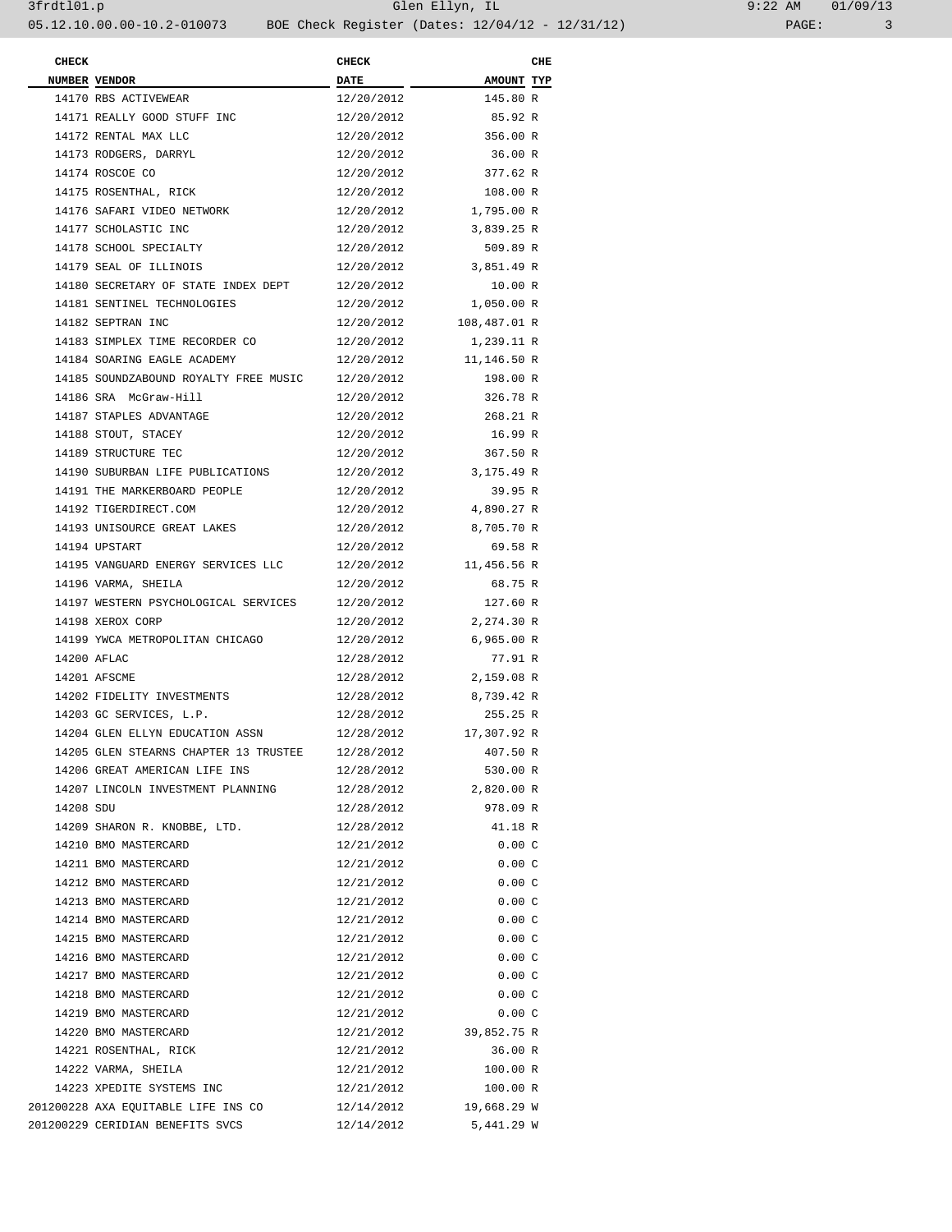| <b>CHECK</b> |                                              | <b>CHECK</b> |                      | CHE |
|--------------|----------------------------------------------|--------------|----------------------|-----|
|              | NUMBER VENDOR                                | <b>DATE</b>  | <b>AMOUNT TYP</b>    |     |
|              | 14170 RBS ACTIVEWEAR                         | 12/20/2012   | 145.80 R             |     |
|              | 14171 REALLY GOOD STUFF INC                  | 12/20/2012   | 85.92 R              |     |
|              | 14172 RENTAL MAX LLC                         | 12/20/2012   | 356.00 R             |     |
|              | 14173 RODGERS, DARRYL                        | 12/20/2012   | 36.00 R              |     |
|              | 14174 ROSCOE CO                              | 12/20/2012   | 377.62 R             |     |
|              | 14175 ROSENTHAL, RICK                        | 12/20/2012   | 108.00 R             |     |
|              | 14176 SAFARI VIDEO NETWORK                   | 12/20/2012   | 1,795.00 R           |     |
|              | 14177 SCHOLASTIC INC                         | 12/20/2012   | 3,839.25 R           |     |
|              | 14178 SCHOOL SPECIALTY                       | 12/20/2012   | 509.89 R             |     |
|              | 14179 SEAL OF ILLINOIS                       | 12/20/2012   | 3,851.49 R           |     |
|              | 14180 SECRETARY OF STATE INDEX DEPT          | 12/20/2012   | 10.00 R              |     |
|              | 14181 SENTINEL TECHNOLOGIES                  | 12/20/2012   | 1,050.00 R           |     |
|              | 14182 SEPTRAN INC                            | 12/20/2012   | 108,487.01 R         |     |
|              | 14183 SIMPLEX TIME RECORDER CO               | 12/20/2012   | 1,239.11 R           |     |
|              | 14184 SOARING EAGLE ACADEMY                  | 12/20/2012   | 11,146.50 R          |     |
|              | 14185 SOUNDZABOUND ROYALTY FREE MUSIC        | 12/20/2012   | 198.00 R             |     |
|              | 14186 SRA McGraw-Hill                        | 12/20/2012   | 326.78 R             |     |
|              | 14187 STAPLES ADVANTAGE                      | 12/20/2012   | 268.21 R             |     |
|              | 14188 STOUT, STACEY                          | 12/20/2012   | 16.99 R              |     |
|              | 14189 STRUCTURE TEC                          | 12/20/2012   | 367.50 R             |     |
|              | 14190 SUBURBAN LIFE PUBLICATIONS             | 12/20/2012   | 3,175.49 R           |     |
|              | 14191 THE MARKERBOARD PEOPLE                 | 12/20/2012   | 39.95 R              |     |
|              | 14192 TIGERDIRECT.COM                        | 12/20/2012   | 4,890.27 R           |     |
|              | 14193 UNISOURCE GREAT LAKES                  | 12/20/2012   | 8,705.70 R           |     |
|              | 14194 UPSTART                                | 12/20/2012   | 69.58 R              |     |
|              | 14195 VANGUARD ENERGY SERVICES LLC           | 12/20/2012   | 11,456.56 R          |     |
|              | 14196 VARMA, SHEILA                          | 12/20/2012   | 68.75 R              |     |
|              | 14197 WESTERN PSYCHOLOGICAL SERVICES         | 12/20/2012   | 127.60 R             |     |
|              | 14198 XEROX CORP                             | 12/20/2012   | 2,274.30 R           |     |
|              | 14199 YWCA METROPOLITAN CHICAGO              | 12/20/2012   | 6,965.00 R           |     |
|              | 14200 AFLAC                                  | 12/28/2012   | 77.91 R              |     |
|              | 14201 AFSCME                                 | 12/28/2012   | 2,159.08 R           |     |
|              | 14202 FIDELITY INVESTMENTS                   | 12/28/2012   | 8,739.42 R           |     |
|              | 14203 GC SERVICES, L.P.                      | 12/28/2012   | 255.25 R             |     |
|              | 14204 GLEN ELLYN EDUCATION ASSN              | 12/28/2012   | 17,307.92 R          |     |
|              | 14205 GLEN STEARNS CHAPTER 13 TRUSTEE        | 12/28/2012   | 407.50 R             |     |
|              | 14206 GREAT AMERICAN LIFE INS                | 12/28/2012   | 530.00 R             |     |
|              | 14207 LINCOLN INVESTMENT PLANNING            | 12/28/2012   | 2,820.00 R           |     |
| 14208 SDU    |                                              | 12/28/2012   | 978.09 R             |     |
|              | 14209 SHARON R. KNOBBE, LTD.                 | 12/28/2012   | 41.18 R              |     |
|              | 14210 BMO MASTERCARD                         | 12/21/2012   | 0.00C                |     |
|              | 14211 BMO MASTERCARD                         | 12/21/2012   | 0.00C                |     |
|              | 14212 BMO MASTERCARD                         | 12/21/2012   |                      |     |
|              | 14213 BMO MASTERCARD                         |              | 0.00C                |     |
|              |                                              | 12/21/2012   | 0.00C                |     |
|              | 14214 BMO MASTERCARD<br>14215 BMO MASTERCARD | 12/21/2012   | 0.00C                |     |
|              |                                              | 12/21/2012   | 0.00C                |     |
|              | 14216 BMO MASTERCARD                         | 12/21/2012   | 0.00C                |     |
|              | 14217 BMO MASTERCARD                         | 12/21/2012   | 0.00C                |     |
|              | 14218 BMO MASTERCARD                         | 12/21/2012   | 0.00C                |     |
|              | 14219 BMO MASTERCARD                         | 12/21/2012   | 0.00C<br>39,852.75 R |     |
|              | 14220 BMO MASTERCARD                         | 12/21/2012   |                      |     |
|              | 14221 ROSENTHAL, RICK                        | 12/21/2012   | 36.00 R              |     |
|              | 14222 VARMA, SHEILA                          | 12/21/2012   | 100.00 R             |     |
|              | 14223 XPEDITE SYSTEMS INC                    | 12/21/2012   | 100.00 R             |     |
|              | 201200228 AXA EQUITABLE LIFE INS CO          | 12/14/2012   | 19,668.29 W          |     |
|              | 201200229 CERIDIAN BENEFITS SVCS             | 12/14/2012   | 5,441.29 W           |     |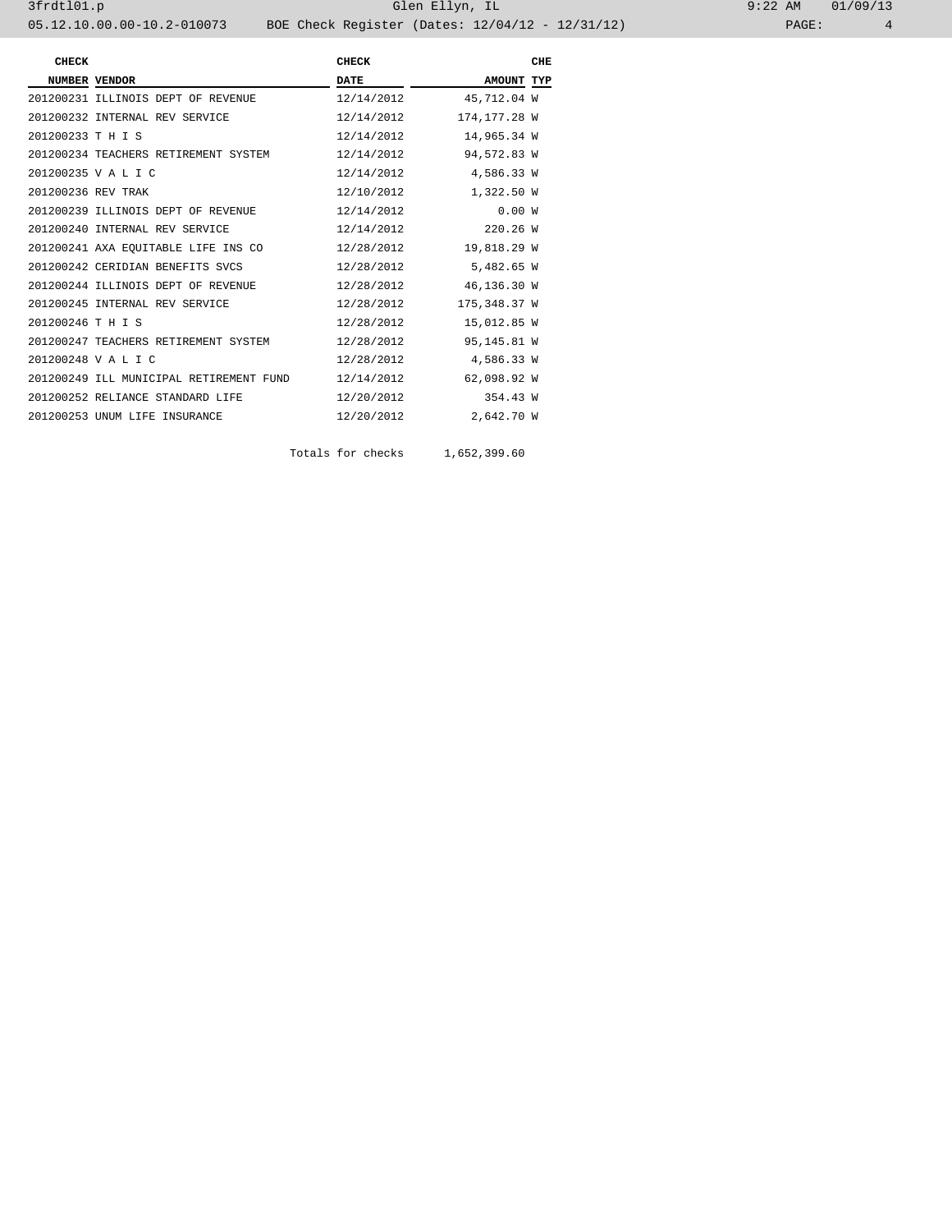3frdtl01.p Glen Ellyn, IL 9:22 AM 01/09/13 05.12.10.00.00-10.2-010073 BOE Check Register (Dates: 12/04/12 - 12/31/12)

| <b>CHECK</b>       |                                         | <b>CHECK</b> |              | CHE |
|--------------------|-----------------------------------------|--------------|--------------|-----|
|                    | NUMBER VENDOR                           | <b>DATE</b>  | AMOUNT TYP   |     |
|                    | 201200231 ILLINOIS DEPT OF REVENUE      | 12/14/2012   | 45,712.04 W  |     |
|                    | 201200232 INTERNAL REV SERVICE          | 12/14/2012   | 174,177.28 W |     |
| 201200233 T H I S  |                                         | 12/14/2012   | 14,965.34 W  |     |
|                    | 201200234 TEACHERS RETIREMENT SYSTEM    | 12/14/2012   | 94,572.83 W  |     |
|                    | 201200235 V A L I C                     | 12/14/2012   | 4,586.33 W   |     |
| 201200236 REV TRAK |                                         | 12/10/2012   | 1,322.50 W   |     |
|                    | 201200239 ILLINOIS DEPT OF REVENUE      | 12/14/2012   | 0.00W        |     |
|                    | 201200240 INTERNAL REV SERVICE          | 12/14/2012   | 220.26 W     |     |
|                    | 201200241 AXA EQUITABLE LIFE INS CO     | 12/28/2012   | 19,818.29 W  |     |
|                    | 201200242 CERIDIAN BENEFITS SVCS        | 12/28/2012   | 5,482.65 W   |     |
|                    | 201200244 ILLINOIS DEPT OF REVENUE      | 12/28/2012   | 46,136.30 W  |     |
|                    | 201200245 INTERNAL REV SERVICE          | 12/28/2012   | 175,348.37 W |     |
| 201200246 T H I S  |                                         | 12/28/2012   | 15,012.85 W  |     |
|                    | 201200247 TEACHERS RETIREMENT SYSTEM    | 12/28/2012   | 95,145.81 W  |     |
|                    | 201200248 V A L I C                     | 12/28/2012   | 4,586.33 W   |     |
|                    | 201200249 ILL MUNICIPAL RETIREMENT FUND | 12/14/2012   | 62,098.92 W  |     |
|                    | 201200252 RELIANCE STANDARD LIFE        | 12/20/2012   | 354.43 W     |     |
|                    | 201200253 UNUM LIFE INSURANCE           | 12/20/2012   | 2,642.70 W   |     |

Totals for checks 1,652,399.60